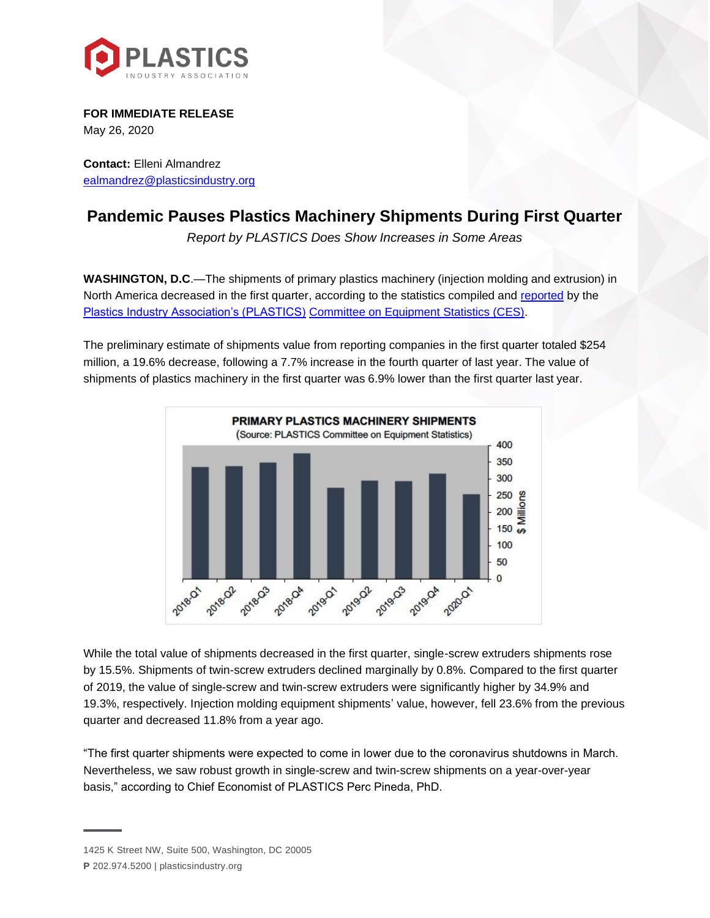

**FOR IMMEDIATE RELEASE** May 26, 2020

**Contact:** Elleni Almandrez [ealmandrez@plasticsindustry.org](mailto:ealmandrez@plasticsindustry.org)

## **Pandemic Pauses Plastics Machinery Shipments During First Quarter**

*Report by PLASTICS Does Show Increases in Some Areas*

**WASHINGTON, D.C**.—The shipments of primary plastics machinery (injection molding and extrusion) in North America decreased in the first quarter, according to the statistics compiled and [reported](https://www.plasticsindustry.org/supply-chain/equipment-moldmakers/committee-equipment-statistics-ces) by the [Plastics Industry Association's \(PLASTICS\)](http://plasticsindustry.org/) [Committee on Equipment Statistics \(CES\).](https://www.plasticsindustry.org/supply-chain/equipment-moldmakers/committee-equipment-statistics-ces)

The preliminary estimate of shipments value from reporting companies in the first quarter totaled \$254 million, a 19.6% decrease, following a 7.7% increase in the fourth quarter of last year. The value of shipments of plastics machinery in the first quarter was 6.9% lower than the first quarter last year.



While the total value of shipments decreased in the first quarter, single-screw extruders shipments rose by 15.5%. Shipments of twin-screw extruders declined marginally by 0.8%. Compared to the first quarter of 2019, the value of single-screw and twin-screw extruders were significantly higher by 34.9% and 19.3%, respectively. Injection molding equipment shipments' value, however, fell 23.6% from the previous quarter and decreased 11.8% from a year ago.

"The first quarter shipments were expected to come in lower due to the coronavirus shutdowns in March. Nevertheless, we saw robust growth in single-screw and twin-screw shipments on a year-over-year basis," according to Chief Economist of PLASTICS Perc Pineda, PhD.